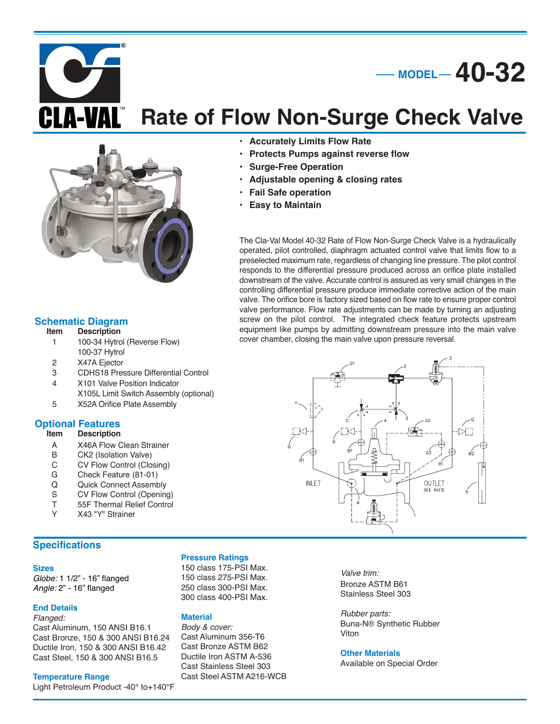**Rate of Flow Non-Surge Check Valve** 

**• Protects Pumps against reverse flow**

**• Adjustable opening & closing rates**

**• Accurately Limits Flow Rate**

**• Surge-Free Operation**

**• Fail Safe operation • Easy to Maintain**



## **Schematic Diagram**<br>**Item** Description

- **Description**
- 1 100-34 Hytrol (Reverse Flow) 100-37 Hytrol
- 2 X47A Ejector
- 3 CDHS18 Pressure Differential Control
- 4 X101 Valve Position Indicator
- X105L Limit Switch Assembly (optional) 5 X52A Orifice Plate Assembly

# **Optional Features**

## **Description**

- A X46A Flow Clean Strainer<br>B CK2 (Isolation Valve)
- B CK2 (Isolation Valve)<br>C CV Flow Control (Clo
- CV Flow Control (Closing)
- G Check Feature (81-01)
- Q Quick Connect Assembly
- S CV Flow Control (Opening)
- T 55F Thermal Relief Control
- Y X43 "Y" Strainer

## **Specifications**

#### **Sizes**

Globe: 1 1/2" - 16" flanged Angle: 2" - 16" flanged

## **End Details**

Flanged: Cast Aluminum, 150 ANSI B16.1 Cast Bronze, 150 & 300 ANSI B16.24 Ductile Iron, 150 & 300 ANSI B16.42 Cast Steel, 150 & 300 ANSI B16.5

## **Temperature Range**

Light Petroleum Product -40° to+140°F

### **Pressure Ratings**

150 class 175-PSI Max. 150 class 275-PSI Max. 250 class 300-PSI Max. 300 class 400-PSI Max.

## **Material**

Body & cover: Cast Aluminum 356-T6 Cast Bronze ASTM B62 Ductile Iron ASTM A-536 Cast Stainless Steel 303 Cast Steel ASTM A216-WCB

Valve trim: Bronze ASTM B61 Stainless Steel 303

Rubber parts: Buna-N® Synthetic Rubber Viton

## **Other Materials**

Available on Special Order



The Cla-Val Model 40-32 Rate of Flow Non-Surge Check Valve is a hydraulically operated, pilot controlled, diaphragm actuated control valve that limits flow to a preselected maximum rate, regardless of changing line pressure. The pilot control responds to the differential pressure produced across an orifice plate installed downstream of the valve. Accurate control is assured as very small changes in the controlling differential pressure produce immediate corrective action of the main valve. The orifice bore is factory sized based on flow rate to ensure proper control valve performance. Flow rate adjustments can be made by turning an adjusting screw on the pilot control. The integrated check feature protects upstream equipment like pumps by admitting downstream pressure into the main valve

cover chamber, closing the main valve upon pressure reversal.

**MODEL 40-32**